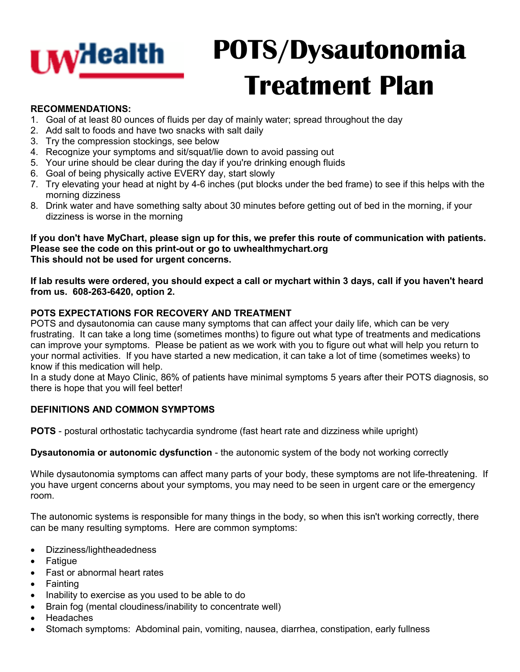

# **POTS/Dysautonomia Treatment Plan**

## **RECOMMENDATIONS:**

- 1. Goal of at least 80 ounces of fluids per day of mainly water; spread throughout the day
- 2. Add salt to foods and have two snacks with salt daily
- 3. Try the compression stockings, see below
- 4. Recognize your symptoms and sit/squat/lie down to avoid passing out
- 5. Your urine should be clear during the day if you're drinking enough fluids
- 6. Goal of being physically active EVERY day, start slowly
- 7. Try elevating your head at night by 4-6 inches (put blocks under the bed frame) to see if this helps with the morning dizziness
- 8. Drink water and have something salty about 30 minutes before getting out of bed in the morning, if your dizziness is worse in the morning

**If you don't have MyChart, please sign up for this, we prefer this route of communication with patients. Please see the code on this print-out or go to uwhealthmychart.org This should not be used for urgent concerns.**

**If lab results were ordered, you should expect a call or mychart within 3 days, call if you haven't heard from us. 608-263-6420, option 2.**

## **POTS EXPECTATIONS FOR RECOVERY AND TREATMENT**

POTS and dysautonomia can cause many symptoms that can affect your daily life, which can be very frustrating. It can take a long time (sometimes months) to figure out what type of treatments and medications can improve your symptoms. Please be patient as we work with you to figure out what will help you return to your normal activities. If you have started a new medication, it can take a lot of time (sometimes weeks) to know if this medication will help.

In a study done at Mayo Clinic, 86% of patients have minimal symptoms 5 years after their POTS diagnosis, so there is hope that you will feel better!

# **DEFINITIONS AND COMMON SYMPTOMS**

**POTS** - postural orthostatic tachycardia syndrome (fast heart rate and dizziness while upright)

**Dysautonomia or autonomic dysfunction** - the autonomic system of the body not working correctly

While dysautonomia symptoms can affect many parts of your body, these symptoms are not life-threatening. If you have urgent concerns about your symptoms, you may need to be seen in urgent care or the emergency room.

The autonomic systems is responsible for many things in the body, so when this isn't working correctly, there can be many resulting symptoms. Here are common symptoms:

- Dizziness/lightheadedness
- Fatigue
- Fast or abnormal heart rates
- **Fainting**
- Inability to exercise as you used to be able to do
- Brain fog (mental cloudiness/inability to concentrate well)
- **Headaches**
- Stomach symptoms: Abdominal pain, vomiting, nausea, diarrhea, constipation, early fullness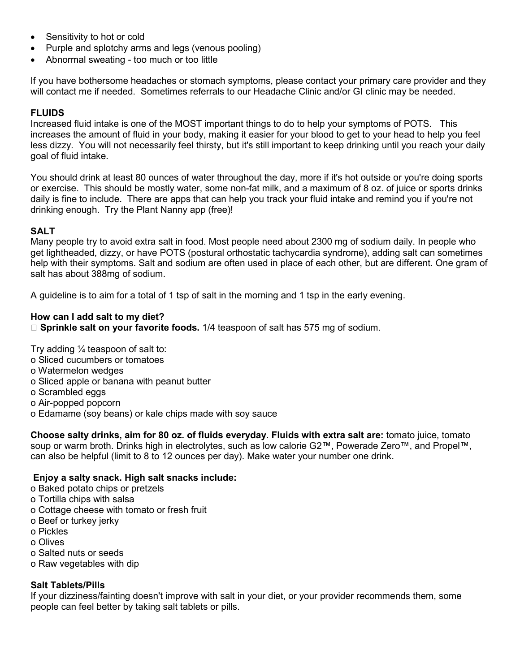- Sensitivity to hot or cold
- Purple and splotchy arms and legs (venous pooling)
- Abnormal sweating too much or too little

If you have bothersome headaches or stomach symptoms, please contact your primary care provider and they will contact me if needed. Sometimes referrals to our Headache Clinic and/or GI clinic may be needed.

## **FLUIDS**

Increased fluid intake is one of the MOST important things to do to help your symptoms of POTS. This increases the amount of fluid in your body, making it easier for your blood to get to your head to help you feel less dizzy. You will not necessarily feel thirsty, but it's still important to keep drinking until you reach your daily goal of fluid intake.

You should drink at least 80 ounces of water throughout the day, more if it's hot outside or you're doing sports or exercise. This should be mostly water, some non-fat milk, and a maximum of 8 oz. of juice or sports drinks daily is fine to include. There are apps that can help you track your fluid intake and remind you if you're not drinking enough. Try the Plant Nanny app (free)!

#### **SALT**

Many people try to avoid extra salt in food. Most people need about 2300 mg of sodium daily. In people who get lightheaded, dizzy, or have POTS (postural orthostatic tachycardia syndrome), adding salt can sometimes help with their symptoms. Salt and sodium are often used in place of each other, but are different. One gram of salt has about 388mg of sodium.

A guideline is to aim for a total of 1 tsp of salt in the morning and 1 tsp in the early evening.

#### **How can I add salt to my diet?**

**Sprinkle salt on your favorite foods.** 1/4 teaspoon of salt has 575 mg of sodium.

Try adding  $\frac{1}{4}$  teaspoon of salt to:

- o Sliced cucumbers or tomatoes
- o Watermelon wedges
- o Sliced apple or banana with peanut butter
- o Scrambled eggs
- o Air-popped popcorn
- o Edamame (soy beans) or kale chips made with soy sauce

**Choose salty drinks, aim for 80 oz. of fluids everyday. Fluids with extra salt are:** tomato juice, tomato soup or warm broth. Drinks high in electrolytes, such as low calorie G2™, Powerade Zero™, and Propel™, can also be helpful (limit to 8 to 12 ounces per day). Make water your number one drink.

#### **Enjoy a salty snack. High salt snacks include:**

- o Baked potato chips or pretzels
- o Tortilla chips with salsa
- o Cottage cheese with tomato or fresh fruit
- o Beef or turkey jerky
- o Pickles
- o Olives
- o Salted nuts or seeds
- o Raw vegetables with dip

#### **Salt Tablets/Pills**

If your dizziness/fainting doesn't improve with salt in your diet, or your provider recommends them, some people can feel better by taking salt tablets or pills.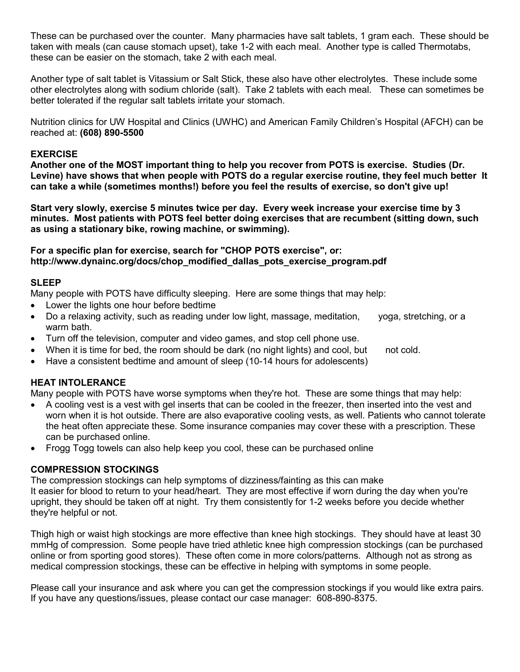These can be purchased over the counter. Many pharmacies have salt tablets, 1 gram each. These should be taken with meals (can cause stomach upset), take 1-2 with each meal. Another type is called Thermotabs, these can be easier on the stomach, take 2 with each meal.

Another type of salt tablet is Vitassium or Salt Stick, these also have other electrolytes. These include some other electrolytes along with sodium chloride (salt). Take 2 tablets with each meal. These can sometimes be better tolerated if the regular salt tablets irritate your stomach.

Nutrition clinics for UW Hospital and Clinics (UWHC) and American Family Children's Hospital (AFCH) can be reached at: **(608) 890-5500** 

#### **EXERCISE**

**Another one of the MOST important thing to help you recover from POTS is exercise. Studies (Dr. Levine) have shows that when people with POTS do a regular exercise routine, they feel much better It can take a while (sometimes months!) before you feel the results of exercise, so don't give up!** 

**Start very slowly, exercise 5 minutes twice per day. Every week increase your exercise time by 3 minutes. Most patients with POTS feel better doing exercises that are recumbent (sitting down, such as using a stationary bike, rowing machine, or swimming).** 

**For a specific plan for exercise, search for "CHOP POTS exercise", or: http://www.dynainc.org/docs/chop\_modified\_dallas\_pots\_exercise\_program.pdf** 

#### **SLEEP**

Many people with POTS have difficulty sleeping. Here are some things that may help:

- Lower the lights one hour before bedtime
- Do a relaxing activity, such as reading under low light, massage, meditation, yoga, stretching, or a warm bath.
- Turn off the television, computer and video games, and stop cell phone use.
- When it is time for bed, the room should be dark (no night lights) and cool, but not cold.
- Have a consistent bedtime and amount of sleep (10-14 hours for adolescents)

#### **HEAT INTOLERANCE**

Many people with POTS have worse symptoms when they're hot. These are some things that may help:

- A cooling vest is a vest with gel inserts that can be cooled in the freezer, then inserted into the vest and worn when it is hot outside. There are also evaporative cooling vests, as well. Patients who cannot tolerate the heat often appreciate these. Some insurance companies may cover these with a prescription. These can be purchased online.
- Frogg Togg towels can also help keep you cool, these can be purchased online

#### **COMPRESSION STOCKINGS**

The compression stockings can help symptoms of dizziness/fainting as this can make It easier for blood to return to your head/heart. They are most effective if worn during the day when you're upright, they should be taken off at night. Try them consistently for 1-2 weeks before you decide whether they're helpful or not.

Thigh high or waist high stockings are more effective than knee high stockings. They should have at least 30 mmHg of compression. Some people have tried athletic knee high compression stockings (can be purchased online or from sporting good stores). These often come in more colors/patterns. Although not as strong as medical compression stockings, these can be effective in helping with symptoms in some people.

Please call your insurance and ask where you can get the compression stockings if you would like extra pairs. If you have any questions/issues, please contact our case manager: 608-890-8375.